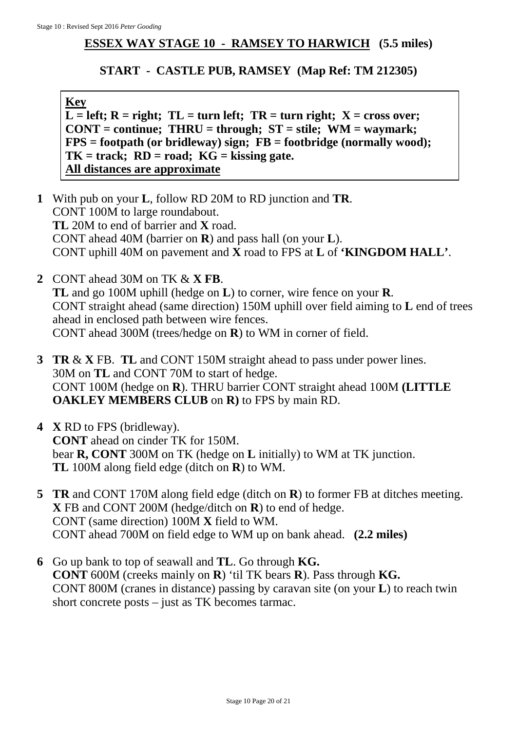## **ESSEX WAY STAGE 10 - RAMSEY TO HARWICH (5.5 miles)**

## **START - CASTLE PUB, RAMSEY (Map Ref: TM 212305)**

**Key**

 $\overline{L}$  = left; R = right; TL = turn left; TR = turn right; X = cross over; **CONT = continue; THRU = through; ST = stile; WM = waymark; FPS** = footpath (or bridleway) sign;  $\overrightarrow{FB}$  = footbridge (normally wood); **TK = track; RD = road; KG = kissing gate. All distances are approximate**

- **1** With pub on your **L**, follow RD 20M to RD junction and **TR**. CONT 100M to large roundabout. **TL** 20M to end of barrier and **X** road. CONT ahead 40M (barrier on **R**) and pass hall (on your **L**). CONT uphill 40M on pavement and **X** road to FPS at **L** of **'KINGDOM HALL'**.
- **2** CONT ahead 30M on TK & **X FB**. **TL** and go 100M uphill (hedge on **L**) to corner, wire fence on your **R**. CONT straight ahead (same direction) 150M uphill over field aiming to **L** end of trees ahead in enclosed path between wire fences. CONT ahead 300M (trees/hedge on **R**) to WM in corner of field.
- **3 TR** & **X** FB. **TL** and CONT 150M straight ahead to pass under power lines. 30M on **TL** and CONT 70M to start of hedge. CONT 100M (hedge on **R**). THRU barrier CONT straight ahead 100M **(LITTLE OAKLEY MEMBERS CLUB** on **R)** to FPS by main RD.
- **4 X** RD to FPS (bridleway). **CONT** ahead on cinder TK for 150M. bear **R, CONT** 300M on TK (hedge on **L** initially) to WM at TK junction. **TL** 100M along field edge (ditch on **R**) to WM.
- **5 TR** and CONT 170M along field edge (ditch on **R**) to former FB at ditches meeting. **X** FB and CONT 200M (hedge/ditch on **R**) to end of hedge. CONT (same direction) 100M **X** field to WM. CONT ahead 700M on field edge to WM up on bank ahead. **(2.2 miles)**
- **6** Go up bank to top of seawall and **TL**. Go through **KG. CONT** 600M (creeks mainly on **R**) 'til TK bears **R**). Pass through **KG.** CONT 800M (cranes in distance) passing by caravan site (on your **L**) to reach twin short concrete posts – just as TK becomes tarmac.